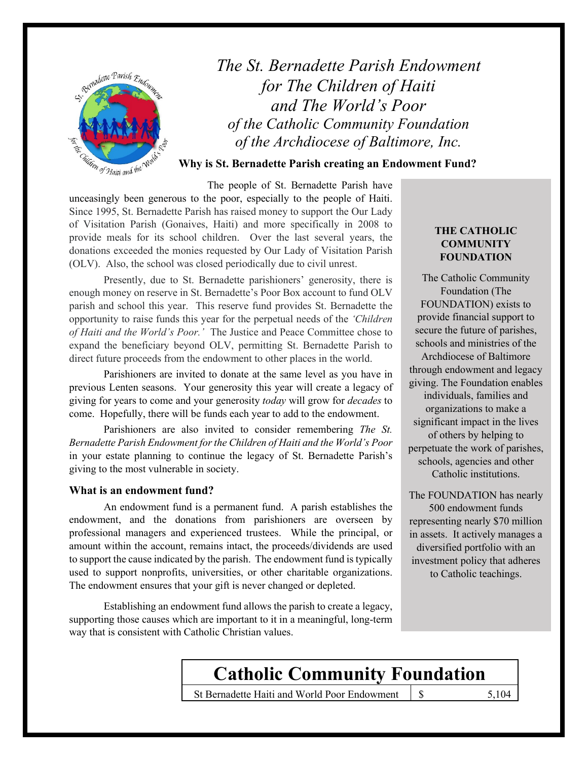

*The St. Bernadette Parish Endowment for The Children of Haiti and The World's Poor of the Catholic Community Foundation of the Archdiocese of Baltimore, Inc.*

**Why is St. Bernadette Parish creating an Endowment Fund?**

The people of St. Bernadette Parish have unceasingly been generous to the poor, especially to the people of Haiti. Since 1995, St. Bernadette Parish has raised money to support the Our Lady of Visitation Parish (Gonaives, Haiti) and more specifically in 2008 to provide meals for its school children. Over the last several years, the donations exceeded the monies requested by Our Lady of Visitation Parish (OLV). Also, the school was closed periodically due to civil unrest.

Presently, due to St. Bernadette parishioners' generosity, there is enough money on reserve in St. Bernadette's Poor Box account to fund OLV parish and school this year. This reserve fund provides St. Bernadette the opportunity to raise funds this year for the perpetual needs of the *'Children of Haiti and the World's Poor.'* The Justice and Peace Committee chose to expand the beneficiary beyond OLV, permitting St. Bernadette Parish to direct future proceeds from the endowment to other places in the world.

Parishioners are invited to donate at the same level as you have in previous Lenten seasons. Your generosity this year will create a legacy of giving for years to come and your generosity *today* will grow for *decades* to come. Hopefully, there will be funds each year to add to the endowment.

Parishioners are also invited to consider remembering *The St. Bernadette Parish Endowment for the Children of Haiti and the World's Poor* in your estate planning to continue the legacy of St. Bernadette Parish's giving to the most vulnerable in society.

#### **What is an endowment fund?**

An endowment fund is a permanent fund. A parish establishes the endowment, and the donations from parishioners are overseen by professional managers and experienced trustees. While the principal, or amount within the account, remains intact, the proceeds/dividends are used to support the cause indicated by the parish. The endowment fund is typically used to support nonprofits, universities, or other charitable organizations. The endowment ensures that your gift is never changed or depleted.

Establishing an endowment fund allows the parish to create a legacy, supporting those causes which are important to it in a meaningful, long-term way that is consistent with Catholic Christian values.

## **THE CATHOLIC COMMUNITY FOUNDATION**

The Catholic Community Foundation (The FOUNDATION) exists to provide financial support to secure the future of parishes, schools and ministries of the Archdiocese of Baltimore through endowment and legacy giving. The Foundation enables individuals, families and organizations to make a significant impact in the lives of others by helping to perpetuate the work of parishes, schools, agencies and other Catholic institutions.

The FOUNDATION has nearly 500 endowment funds representing nearly \$70 million in assets. It actively manages a diversified portfolio with an investment policy that adheres to Catholic teachings.

# **Catholic Community Foundation**

St Bernadette Haiti and World Poor Endowment | \$ 5,104